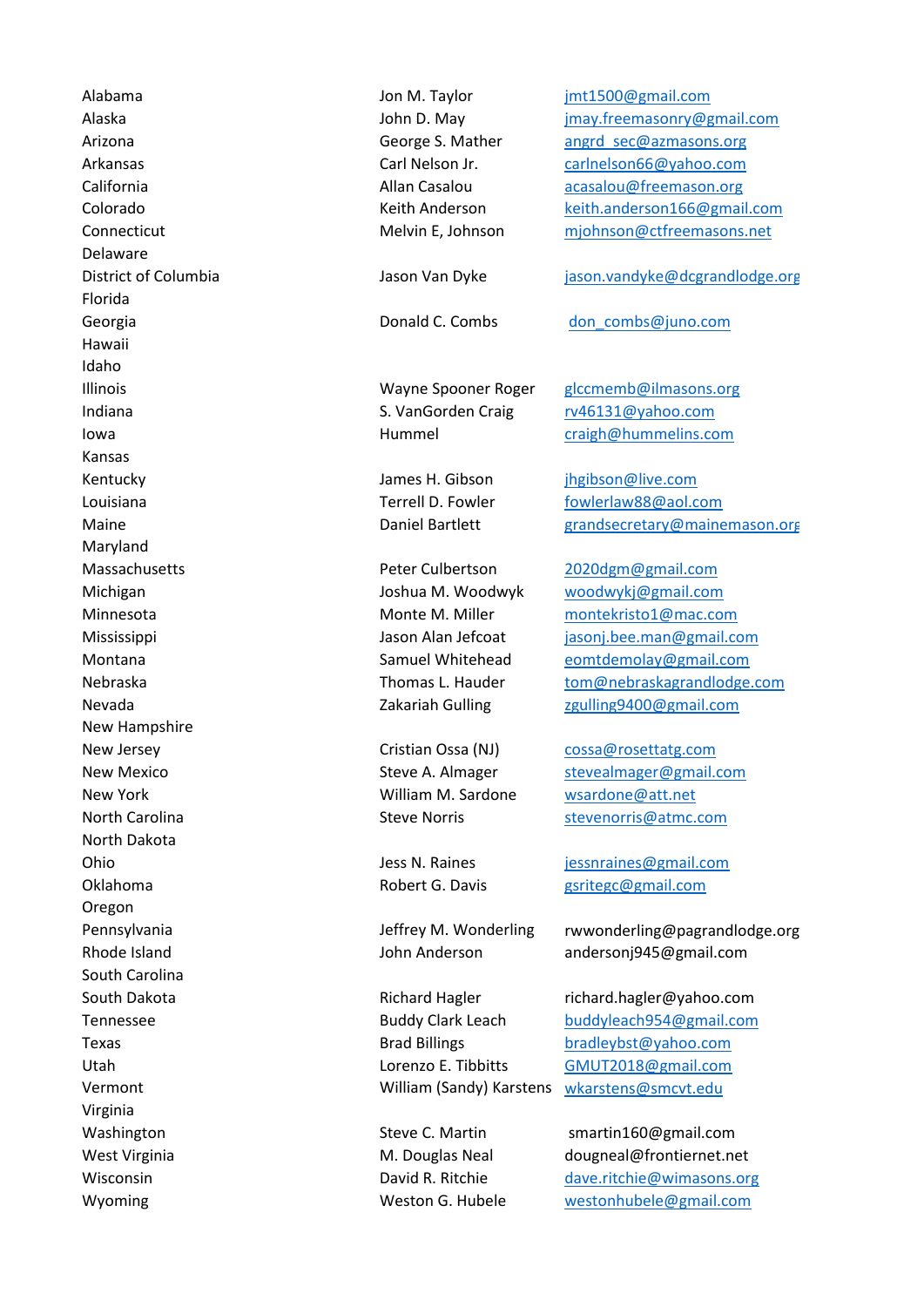Alabama [jmt1500@gmail.com](mailto:jmt1500@gmail.com) Delaware Florida Hawaii Idaho Kansas Kentucky **implement of the set of the set of the set of the set of the set of the set of the set of the set of the set of the set of the set of the set of the set of the set of the set of the set of the set of the set of t** Maryland Massachusetts [2020dgm@gmail.com](mailto:2020dgm@gmail.com) New Hampshire New Jersey Cristian Ossa (NJ) [cossa@rosettatg.com](mailto:cossa@rosettatg.com) North Dakota **Ohio intervalse in the set of the set of the set of the set of the set of the set of the set of the set of the set of the set of the set of the set of the set of the set of the set of the set of the set of the set of th** Oregon South Carolina Utah Virginia

Jon M. Taylor John D. May George S. Mather Carl Nelson Jr. Allan Casalou Keith Anderson Melvin E, Johnson

Jason Van Dyke

Donald C. Combs

Indiana and a rotation of the S. VanGorden Craig and the [rv46131@yahoo.com](mailto:rv46131@yahoo.com) Wayne Spooner Roger Hummel

> James H. Gibson Terrell D. Fowler Daniel Bartlett

Peter Culbertson Joshua M. Woodwyk Monte M. Miller Jason Alan Jefcoat Samuel Whitehead Thomas L. Hauder Zakariah Gulling

New York **Matter Contract Contract Contract William M. Sardone** Music Mew York Music Mew York Cristian Ossa (NJ) Steve A. Almager Steve Norris

> Jess N. Raines Robert G. Davis

Jeffrey M. Wonderling John Anderson

Richard Hagler Buddy Clark Leach Brad Billings Vermont William (Sandy) Karstens [wkarstens@smcvt.edu](mailto:wkarstens@smcvt.edu)

Alaska [jmay.freemasonry@gmail.com](mailto:jmay.freemasonry@gmail.com) Arizona **angle angle angle angle angle angle angle angle angle angle angle angle angle angle angle angle angle angle angle angle angle angle angle angle angle angle angle angle angle angle angle angle angle angle angle ang** Arkansas carl Carl Nelson Jr. [carlnelson66@yahoo.com](mailto:carlnelson66@yahoo.com) California **Allan Casalou** [acasalou@freemason.org](mailto:acasalou@freemason.org) acasalou@freemason.org Colorado [keith.anderson166@gmail.com](mailto:keith.anderson166@gmail.com) Connecticut mission might method of the Melvin E, Johnson might might moder freemasons.net

District of Columbia and in the state of Columbia in the state of Columbia in the state of Columbia in the state of the state of the state of the state of the state of the state of the state of the state of the state of th

Georgia don combs@juno.com **bonald C. Combs** don combs@juno.com

Illinois and the state of the Mayne Spooner Roger and [glccmemb@ilmasons.org](mailto:glccmemb@ilmasons.org) Iowa [craigh@hummelins.com](mailto:craigh@hummelins.com)

Louisiana **for the community of the Community Community** Terrell D. Fowler [fowlerlaw88@aol.com](mailto:fowlerlaw88@aol.com) Maine **Grandsecretary@mainemason.org CALCON Daniel Bartlett [grandsecretary@mainemason.org](mailto:grandsecretary@mainemason.org)** 

Michigan [woodwykj@gmail.com](mailto:woodwykj@gmail.com) Minnesota monte monte M. Miller [montekristo1@mac.com](mailto:montekristo1@mac.com) Mississippi industrial of the second version of the second version of the second version of the second version of the second version of the second version of the second version of the second version of the second version o Montana **Example 2018** Samuel Whitehead [eomtdemolay@gmail.com](mailto:eomtdemolay@gmail.com) Nebraska Thomas L. Hauder [tom@nebraskagrandlodge.com](mailto:tom@nebraskagrandlodge.com) Nevada [zgulling9400@gmail.com](mailto:zgulling9400@gmail.com)

New Mexico Steve A. Almager [stevealmager@gmail.com](mailto:stevealmager@gmail.com) North Carolina Steve Norris Steve Norris Stevenorris@atmc.com

Oklahoma **galaxies** Robert G. Davis [gsritegc@gmail.com](mailto:gsritegc@gmail.com)

Pennsylvania and the state of the settlem of the settlem of the settlem of the settlem of the settlem of the settlem of the settlem of the settlem of the settlem of the settlem of the settlem of the settlem of the settlem Rhode Island **and anderson** andersonj945@gmail.com

South Dakota **richard.hagler** richard.hagler@yahoo.com Tennessee buddy Clark Leach [buddyleach954@gmail.com](mailto:buddyleach954@gmail.com) Texas [bradleybst@yahoo.com](mailto:bradleybst@yahoo.com) Lorenzo E. Tibbitts **[GMUT2018@gmail.com](mailto:GMUT2018@gmail.com)** 

Washington Steve C. Martin material 50@gmail.com West Virginia **M. Douglas Neal dougneal@frontiernet**.net Wisconsin David R. Ritchie [dave.ritchie@wimasons.org](mailto:dave.ritchie@wimasons.org) Wyoming Weston G. Hubele [westonhubele@gmail.com](mailto:westonhubele@gmail.com)